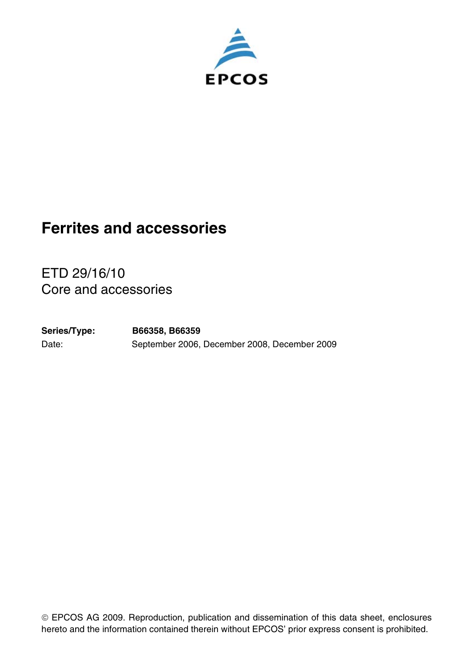

# **Ferrites and accessories**

ETD 29/16/10 Core and accessories

Date: September 2006, December 2008, December 2009 **Series/Type: B66358, B66359**

EPCOS AG 2009. Reproduction, publication and dissemination of this data sheet, enclosures hereto and the information contained therein without EPCOS' prior express consent is prohibited.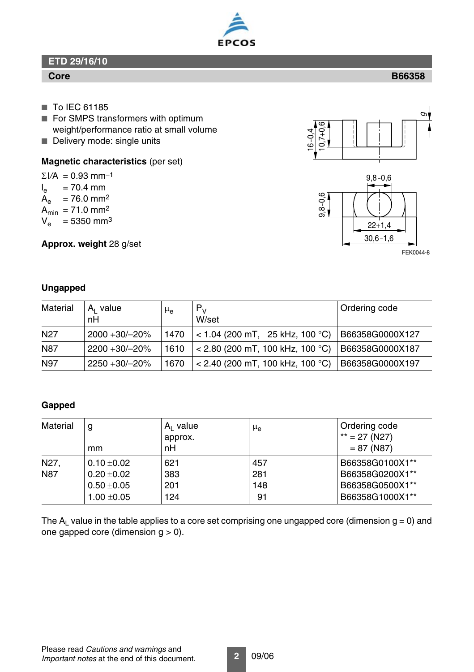## **Core**

- To IEC 61185
- For SMPS transformers with optimum weight/performance ratio at small volume
- Delivery mode: single units

### **Magnetic characteristics** (per set)

 $\Sigma$ *l/A* = 0.93 mm<sup>-1</sup> l<sub>e</sub> = 70.4 mm  $A_e$  = 76.0 mm<sup>2</sup>  $A_{\text{min}} = 71.0 \text{ mm}^2$  $V_e$  = 5350 mm<sup>3</sup>

**Approx. weight** 28 g/set

## **Ungapped**

| Material        | $A1$ value<br>nH | $\mu_e$ | $P_V$<br>W/set                     | Ordering code   |
|-----------------|------------------|---------|------------------------------------|-----------------|
| N <sub>27</sub> | 2000 + 30/ - 20% | 1470    | $<$ 1.04 (200 mT, 25 kHz, 100 °C)  | B66358G0000X127 |
| N87             | 2200 +30/-20%    | 1610    | ∈ < 2.80 (200 mT, 100 kHz, 100 °C) | B66358G0000X187 |
| N97             | 2250 +30/-20%    | 1670    | $<$ 2.40 (200 mT, 100 kHz, 100 °C) | B66358G0000X197 |

## **Gapped**

| Material          | g<br>mm       | $A1$ value<br>approx.<br>nH | $\mu_{\rm e}$ | Ordering code<br>$**$ = 27 (N27)<br>$= 87 (N87)$ |
|-------------------|---------------|-----------------------------|---------------|--------------------------------------------------|
| N <sub>27</sub> . | $0.10 + 0.02$ | 621                         | 457           | B66358G0100X1**                                  |
| N87               | $0.20 + 0.02$ | 383                         | 281           | B66358G0200X1**                                  |
|                   | $0.50 + 0.05$ | 201                         | 148           | B66358G0500X1**                                  |
|                   | $1.00 + 0.05$ | 124                         | 91            | B66358G1000X1**                                  |

The  $A<sub>1</sub>$  value in the table applies to a core set comprising one ungapped core (dimension  $g = 0$ ) and one gapped core (dimension g > 0).







FEK0044-8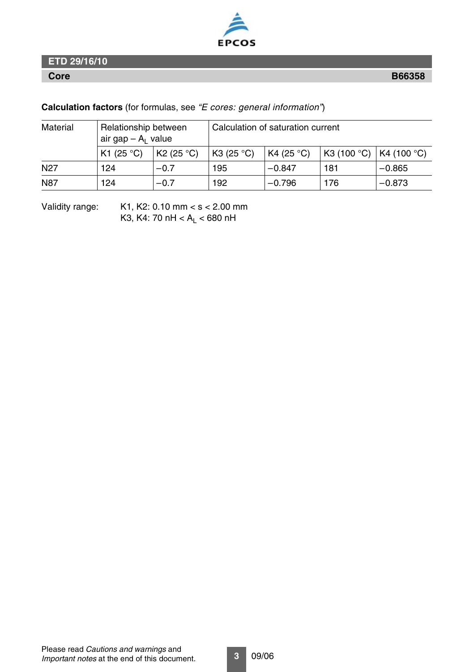

**Calculation factors** (for formulas, see *"E cores: general information"*)

| Material        | Relationship between<br>air gap $- A1$ value |           | Calculation of saturation current |            |            |             |  |
|-----------------|----------------------------------------------|-----------|-----------------------------------|------------|------------|-------------|--|
|                 | K1 $(25 °C)$                                 | K2(25 °C) | K3 (25 $^{\circ}$ C)              | K4 (25 °C) | K3(100 °C) | K4 (100 °C) |  |
| N <sub>27</sub> | 124                                          | $-0.7$    | 195                               | $-0.847$   | 181        | $-0.865$    |  |
| N87             | 124                                          | $-0.7$    | 192                               | $-0.796$   | 176        | $-0.873$    |  |

Validity range: K1, K2: 0.10 mm < s < 2.00 mm K3, K4: 70 nH <  $A_L$  < 680 nH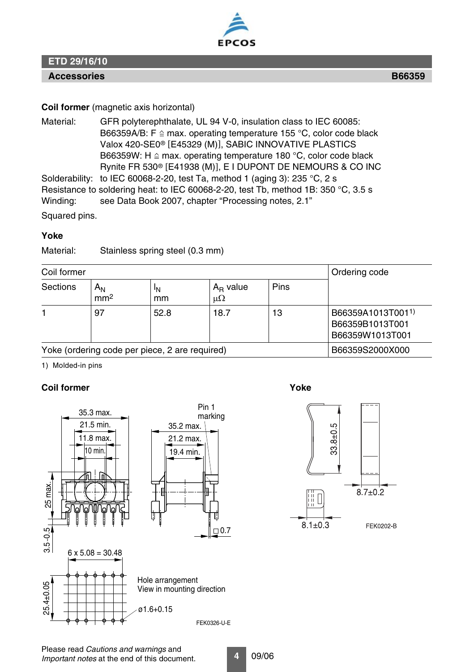

### **Accessories B66359**

### **Coil former** (magnetic axis horizontal)

Material: GFR polyterephthalate, UL 94 V-0, insulation class to IEC 60085: B66359A/B: F  $\triangleq$  max. operating temperature 155 °C, color code black Valox 420-SE0<sup>®</sup> [E45329 (M)], SABIC INNOVATIVE PLASTICS B66359W: H  $\triangleq$  max. operating temperature 180 °C, color code black Rynite FR 530® E41938 (M), E I DUPONT DE NEMOURS & CO INC Solderability: to IEC 60068-2-20, test Ta, method 1 (aging 3): 235 °C, 2 s Resistance to soldering heat: to IEC 60068-2-20, test Tb, method 1B: 350 °C, 3.5 s Winding: see Data Book 2007, chapter "Processing notes, 2.1"

Squared pins.

### **Yoke**

Material: Stainless spring steel (0.3 mm)

| Coil former                                    |                                   |                      |                              |      | Ordering code                                           |
|------------------------------------------------|-----------------------------------|----------------------|------------------------------|------|---------------------------------------------------------|
| Sections                                       | Α <sub>Ν</sub><br>mm <sup>2</sup> | <sup>I</sup> N<br>mm | $A_{R}$ value<br>$\mu\Omega$ | Pins |                                                         |
|                                                | 97                                | 52.8                 | 18.7                         | 13   | B66359A1013T0011)<br>B66359B1013T001<br>B66359W1013T001 |
| Yoke (ordering code per piece, 2 are required) |                                   |                      |                              |      | B66359S2000X000                                         |

1) Molded-in pins

### **Coil former Yoke**



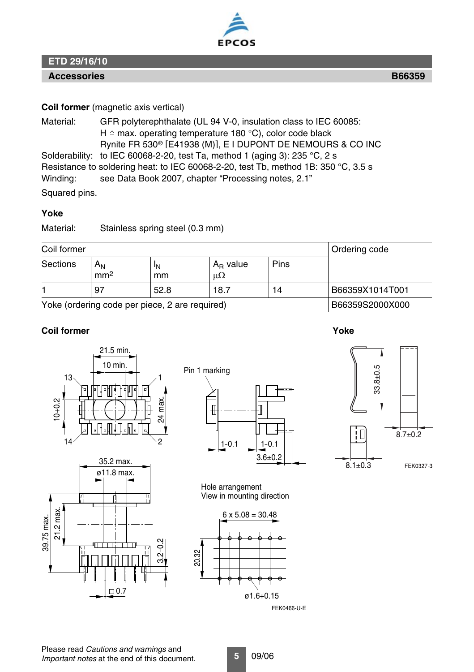

### **Accessories B66359**

### **Coil former** (magnetic axis vertical)

Material: GFR polyterephthalate (UL 94 V-0, insulation class to IEC 60085: H  $\triangle$  max. operating temperature 180 °C), color code black Rynite FR 530<sup>®</sup> [E41938 (M)], E I DUPONT DE NEMOURS & CO INC Solderability: to IEC 60068-2-20, test Ta, method 1 (aging 3): 235 °C, 2 s Resistance to soldering heat: to IEC 60068-2-20, test Tb, method 1B: 350 °C, 3.5 s Winding: see Data Book 2007, chapter "Processing notes, 2.1"

Squared pins.

### **Yoke**

Material: Stainless spring steel (0.3 mm)

21.5 min.

| Coil former |                                                |                 |                              |      | Ordering code   |
|-------------|------------------------------------------------|-----------------|------------------------------|------|-----------------|
| Sections    | $A_{\mathsf{N}}$<br>mm <sup>2</sup>            | 'N<br>mm        | $A_{R}$ value<br>$\mu\Omega$ | Pins |                 |
|             | 97                                             | 52.8            | 18.7                         | 14   | B66359X1014T001 |
|             | Yoke (ordering code per piece, 2 are required) | B66359S2000X000 |                              |      |                 |

### **Coil former Yoke**





Hole arrangement View in mounting direction

 $3.6 + 0.2$ 



FEK0466-U-E

 $\Box$ 0.7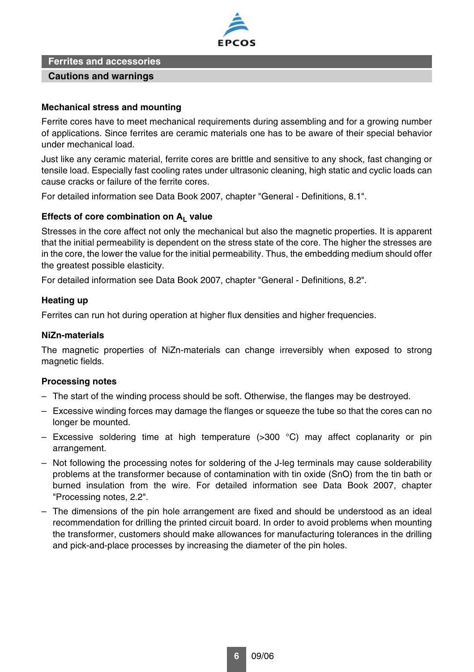

**Ferrites and accessories**

### **Cautions and warnings**

### **Mechanical stress and mounting**

Ferrite cores have to meet mechanical requirements during assembling and for a growing number of applications. Since ferrites are ceramic materials one has to be aware of their special behavior under mechanical load.

Just like any ceramic material, ferrite cores are brittle and sensitive to any shock, fast changing or tensile load. Especially fast cooling rates under ultrasonic cleaning, high static and cyclic loads can cause cracks or failure of the ferrite cores.

For detailed information see Data Book 2007, chapter "General - Definitions, 8.1".

### Effects of core combination on A<sub>1</sub> value

Stresses in the core affect not only the mechanical but also the magnetic properties. It is apparent that the initial permeability is dependent on the stress state of the core. The higher the stresses are in the core, the lower the value for the initial permeability. Thus, the embedding medium should offer the greatest possible elasticity.

For detailed information see Data Book 2007, chapter "General - Definitions, 8.2".

### **Heating up**

Ferrites can run hot during operation at higher flux densities and higher frequencies.

### **NiZn-materials**

The magnetic properties of NiZn-materials can change irreversibly when exposed to strong magnetic fields.

### **Processing notes**

- The start of the winding process should be soft. Otherwise, the flanges may be destroyed.
- Excessive winding forces may damage the flanges or squeeze the tube so that the cores can no longer be mounted.
- Excessive soldering time at high temperature ( $>300$  °C) may affect coplanarity or pin arrangement.
- Not following the processing notes for soldering of the J-leg terminals may cause solderability problems at the transformer because of contamination with tin oxide (SnO) from the tin bath or burned insulation from the wire. For detailed information see Data Book 2007, chapter "Processing notes, 2.2".
- The dimensions of the pin hole arrangement are fixed and should be understood as an ideal recommendation for drilling the printed circuit board. In order to avoid problems when mounting the transformer, customers should make allowances for manufacturing tolerances in the drilling and pick-and-place processes by increasing the diameter of the pin holes.